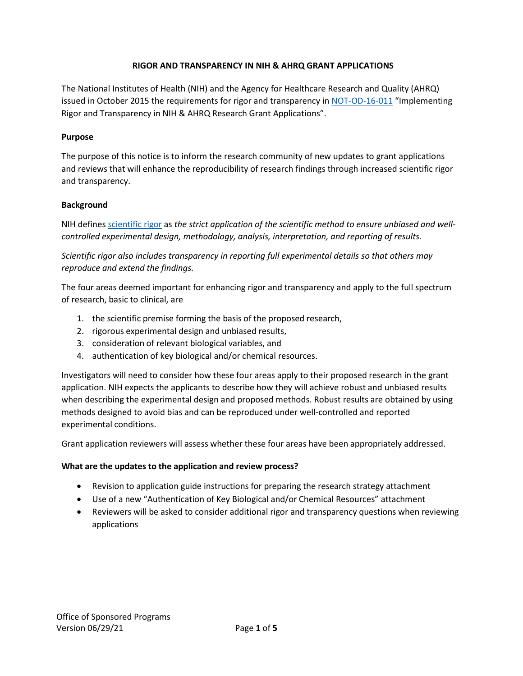# **RIGOR AND TRANSPARENCY IN NIH & AHRQ GRANT APPLICATIONS**

The National Institutes of Health (NIH) and the Agency for Healthcare Research and Quality (AHRQ) issued in October 2015 the requirements for rigor and transparency in [NOT-OD-16-011](http://grants.nih.gov/grants/guide/notice-files/NOT-OD-16-011.html) "Implementing Rigor and Transparency in NIH & AHRQ Research Grant Applications".

### **Purpose**

The purpose of this notice is to inform the research community of new updates to grant applications and reviews that will enhance the reproducibility of research findings through increased scientific rigor and transparency.

## **Background**

NIH defines [scientific rigor](http://grants.nih.gov/reproducibility/index.htm) as *the strict application of the scientific method to ensure unbiased and wellcontrolled experimental design, methodology, analysis, interpretation, and reporting of results.*

*Scientific rigor also includes transparency in reporting full experimental details so that others may reproduce and extend the findings.*

The four areas deemed important for enhancing rigor and transparency and apply to the full spectrum of research, basic to clinical, are

- 1. the scientific premise forming the basis of the proposed research,
- 2. rigorous experimental design and unbiased results,
- 3. consideration of relevant biological variables, and
- 4. authentication of key biological and/or chemical resources.

Investigators will need to consider how these four areas apply to their proposed research in the grant application. NIH expects the applicants to describe how they will achieve robust and unbiased results when describing the experimental design and proposed methods. Robust results are obtained by using methods designed to avoid bias and can be reproduced under well-controlled and reported experimental conditions.

Grant application reviewers will assess whether these four areas have been appropriately addressed.

#### **What are the updates to the application and review process?**

- Revision to application guide instructions for preparing the research strategy attachment
- Use of a new "Authentication of Key Biological and/or Chemical Resources" attachment
- Reviewers will be asked to consider additional rigor and transparency questions when reviewing applications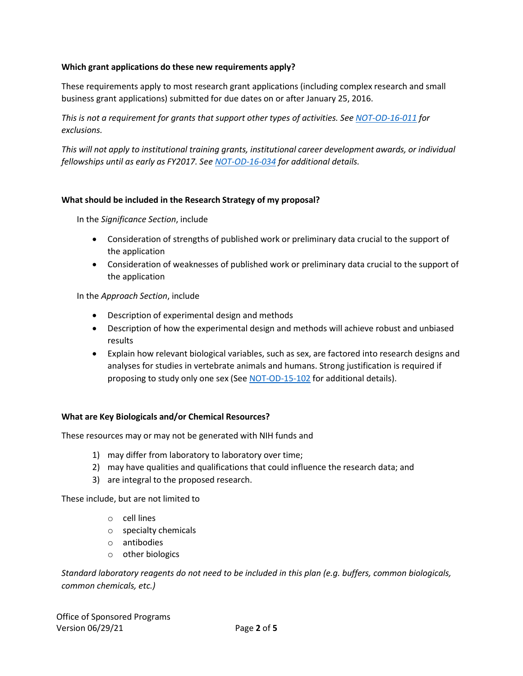## **Which grant applications do these new requirements apply?**

These requirements apply to most research grant applications (including complex research and small business grant applications) submitted for due dates on or after January 25, 2016.

*This is not a requirement for grants that support other types of activities. Se[e NOT-OD-16-011](http://grants.nih.gov/grants/guide/notice-files/NOT-OD-16-011.html) for exclusions.*

*This will not apply to institutional training grants, institutional career development awards, or individual fellowships until as early as FY2017. See [NOT-OD-16-034](http://grants.nih.gov/grants/guide/notice-files/NOT-OD-16-034.html) for additional details.*

## **What should be included in the Research Strategy of my proposal?**

In the *Significance Section*, include

- Consideration of strengths of published work or preliminary data crucial to the support of the application
- Consideration of weaknesses of published work or preliminary data crucial to the support of the application

#### In the *Approach Section*, include

- Description of experimental design and methods
- Description of how the experimental design and methods will achieve robust and unbiased results
- Explain how relevant biological variables, such as sex, are factored into research designs and analyses for studies in vertebrate animals and humans. Strong justification is required if proposing to study only one sex (See [NOT-OD-15-102](http://grants.nih.gov/grants/guide/notice-files/NOT-OD-15-102.html) for additional details).

#### **What are Key Biologicals and/or Chemical Resources?**

These resources may or may not be generated with NIH funds and

- 1) may differ from laboratory to laboratory over time;
- 2) may have qualities and qualifications that could influence the research data; and
- 3) are integral to the proposed research.

These include, but are not limited to

- o cell lines
- o specialty chemicals
- o antibodies
- o other biologics

*Standard laboratory reagents do not need to be included in this plan (e.g. buffers, common biologicals, common chemicals, etc.)*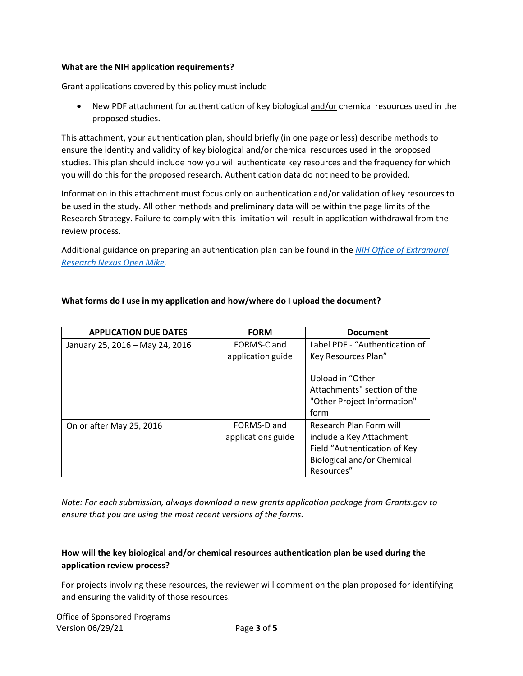#### **What are the NIH application requirements?**

Grant applications covered by this policy must include

• New PDF attachment for authentication of key biological and/or chemical resources used in the proposed studies.

This attachment, your authentication plan, should briefly (in one page or less) describe methods to ensure the identity and validity of key biological and/or chemical resources used in the proposed studies. This plan should include how you will authenticate key resources and the frequency for which you will do this for the proposed research. Authentication data do not need to be provided.

Information in this attachment must focus only on authentication and/or validation of key resources to be used in the study. All other methods and preliminary data will be within the page limits of the Research Strategy. Failure to comply with this limitation will result in application withdrawal from the review process.

Additional guidance on preparing an authentication plan can be found in the *[NIH Office of Extramural](https://nexus.od.nih.gov/all/2016/01/29/authentication-of-key-biological-andor-chemical-resources-in-nih-grant-applications/) Research [Nexus Open](https://nexus.od.nih.gov/all/2016/01/29/authentication-of-key-biological-andor-chemical-resources-in-nih-grant-applications/) Mike.*

| <b>APPLICATION DUE DATES</b>    | <b>FORM</b>        | <b>Document</b>                |
|---------------------------------|--------------------|--------------------------------|
| January 25, 2016 - May 24, 2016 | FORMS-C and        | Label PDF - "Authentication of |
|                                 | application guide  | Key Resources Plan"            |
|                                 |                    | Upload in "Other               |
|                                 |                    | Attachments" section of the    |
|                                 |                    | "Other Project Information"    |
|                                 |                    | form                           |
| On or after May 25, 2016        | FORMS-D and        | Research Plan Form will        |
|                                 | applications guide | include a Key Attachment       |
|                                 |                    | Field "Authentication of Key   |
|                                 |                    | Biological and/or Chemical     |
|                                 |                    | Resources"                     |

## **What forms do I use in my application and how/where do I upload the document?**

*Note: For each submission, always download a new grants application package from Grants.gov to ensure that you are using the most recent versions of the forms.*

# **How will the key biological and/or chemical resources authentication plan be used during the application review process?**

For projects involving these resources, the reviewer will comment on the plan proposed for identifying and ensuring the validity of those resources.

Office of Sponsored Programs Version 06/29/21 Page **3** of **5**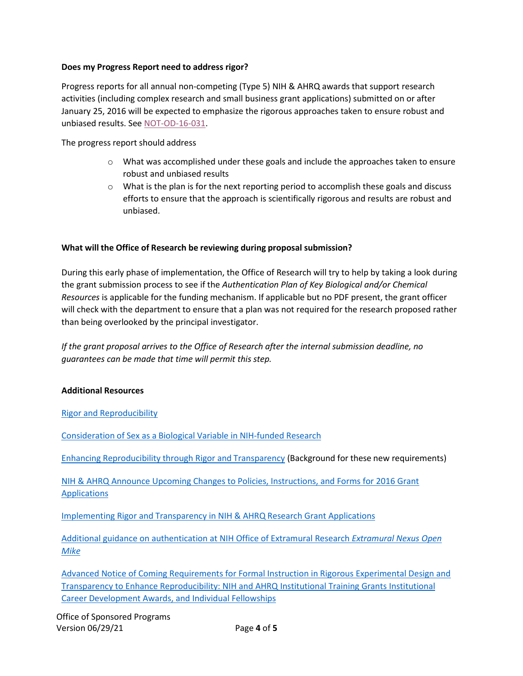### **Does my Progress Report need to address rigor?**

Progress reports for all annual non-competing (Type 5) NIH & AHRQ awards that support research activities (including complex research and small business grant applications) submitted on or after January 25, 2016 will be expected to emphasize the rigorous approaches taken to ensure robust and unbiased results. Se[e NOT-OD-16-031.](http://grants.nih.gov/grants/guide/notice-files/NOT-OD-16-031.html)

The progress report should address

- o What was accomplished under these goals and include the approaches taken to ensure robust and unbiased results
- $\circ$  What is the plan is for the next reporting period to accomplish these goals and discuss efforts to ensure that the approach is scientifically rigorous and results are robust and unbiased.

## **What will the Office of Research be reviewing during proposal submission?**

During this early phase of implementation, the Office of Research will try to help by taking a look during the grant submission process to see if the *Authentication Plan of Key Biological and/or Chemical Resources* is applicable for the funding mechanism. If applicable but no PDF present, the grant officer will check with the department to ensure that a plan was not required for the research proposed rather than being overlooked by the principal investigator.

*If the grant proposal arrives to the Office of Research after the internal submission deadline, no guarantees can be made that time will permit this step.*

#### **Additional Resources**

Rigor and [Reproducibility](http://grants.nih.gov/reproducibility/index.htm)

[Consideration](http://grants.nih.gov/grants/guide/notice-files/NOT-OD-15-102.html) of Sex as a Biological Variable in NIH-funded Research

Enhancing [Reproducibility](http://grants.nih.gov/grants/guide/notice-files/NOT-OD-15-103.html) through Rigor and Transparency (Background for these new requirements)

[NIH & AHRQ Announce Upcoming Changes to Policies, Instructions, and Forms for 2016](http://grants.nih.gov/grants/guide/notice-files/NOT-OD-16-004.html) Grant [Applications](http://grants.nih.gov/grants/guide/notice-files/NOT-OD-16-004.html)

[Implementing](http://grants.nih.gov/grants/guide/notice-files/NOT-OD-16-011.html) Rigor and Transparency in NIH & AHRQ Research Grant Applications

[Additional guidance on authentication at NIH Office of Extramural Research](https://nexus.od.nih.gov/all/2016/01/29/authentication-of-key-biological-andor-chemical-resources-in-nih-grant-applications/) *Extramural Nexus Open [Mike](https://nexus.od.nih.gov/all/2016/01/29/authentication-of-key-biological-andor-chemical-resources-in-nih-grant-applications/)*

[Advanced Notice of Coming Requirements for Formal Instruction in Rigorous Experimental Design and](http://grants.nih.gov/grants/guide/notice-files/NOT-OD-16-034.html) [Transparency to Enhance Reproducibility: NIH and AHRQ Institutional Training Grants Institutional](http://grants.nih.gov/grants/guide/notice-files/NOT-OD-16-034.html) Career [Development Awards, and](http://grants.nih.gov/grants/guide/notice-files/NOT-OD-16-034.html) Individual Fellowships